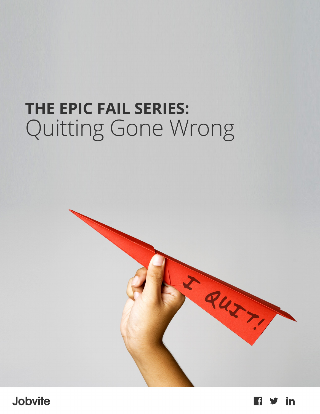# **THE EPIC FAIL SERIES:**  Quitting Gone Wrong



**Jobvite** 

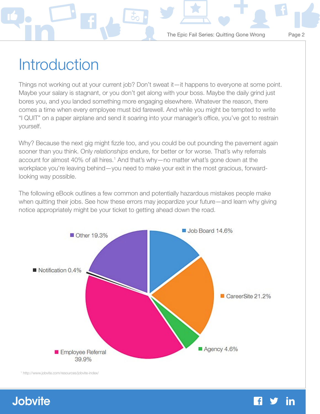## **Introduction**

Things not working out at your current job? Don't sweat it—it happens to everyone at some point. Maybe your salary is stagnant, or you don't get along with your boss. Maybe the daily grind just bores you, and you landed something more engaging elsewhere. Whatever the reason, there comes a time when every employee must bid farewell. And while you might be tempted to write "I QUIT" on a paper airplane and send it soaring into your manager's office, you've got to restrain yourself.

Why? Because the next gig might fizzle too, and you could be out pounding the pavement again sooner than you think. Only *relationships* endure, for better or for worse. That's why referrals account for almost 40% of all hires.<sup>1</sup> And that's why—no matter what's gone down at the workplace you're leaving behind—you need to make your exit in the most gracious, forwardlooking way possible.

The following eBook outlines a few common and potentially hazardous mistakes people make when quitting their jobs. See how these errors may jeopardize your future—and learn why giving notice appropriately might be your ticket to getting ahead down the road.



1 http://www.jobvite.com/resources/jobvite-index/

### **Jobvite**

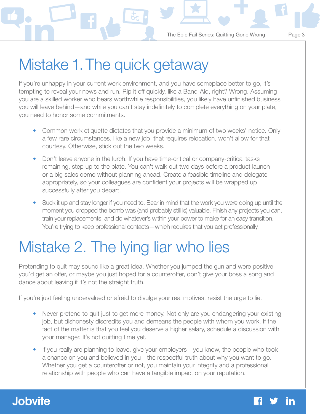## Mistake 1. The quick getaway

If you're unhappy in your current work environment, and you have someplace better to go, it's tempting to reveal your news and run. Rip it off quickly, like a Band-Aid, right? Wrong. Assuming you are a skilled worker who bears worthwhile responsibilities, you likely have unfinished business you will leave behind—and while you can't stay indefinitely to complete everything on your plate, you need to honor some commitments.

- Common work etiquette dictates that you provide a minimum of two weeks' notice. Only a few rare circumstances, like a new job that requires relocation, won't allow for that courtesy. Otherwise, stick out the two weeks.
- Don't leave anyone in the lurch. If you have time-critical or company-critical tasks remaining, step up to the plate. You can't walk out two days before a product launch or a big sales demo without planning ahead. Create a feasible timeline and delegate appropriately, so your colleagues are confident your projects will be wrapped up successfully after you depart.
- Suck it up and stay longer if you need to. Bear in mind that the work you were doing up until the moment you dropped the bomb was (and probably still is) valuable. Finish any projects you can, train your replacements, and do whatever's within your power to make for an easy transition. You're trying to keep professional contacts—which requires that you act professionally.

## Mistake 2. The lying liar who lies

Pretending to quit may sound like a great idea. Whether you jumped the gun and were positive you'd get an offer, or maybe you just hoped for a counteroffer, don't give your boss a song and dance about leaving if it's not the straight truth.

If you're just feeling undervalued or afraid to divulge your real motives, resist the urge to lie.

- Never pretend to quit just to get more money. Not only are you endangering your existing job, but dishonesty discredits you and demeans the people with whom you work. If the fact of the matter is that you feel you deserve a higher salary, schedule a discussion with your manager. It's not quitting time yet.
- If you really are planning to leave, give your employers—you know, the people who took a chance on you and believed in you—the respectful truth about why you want to go. Whether you get a counteroffer or not, you maintain your integrity and a professional relationship with people who can have a tangible impact on your reputation.

### **Jobvite**

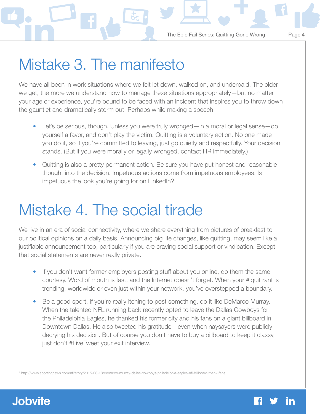## Mistake 3. The manifesto

We have all been in work situations where we felt let down, walked on, and underpaid. The older we get, the more we understand how to manage these situations appropriately—but no matter your age or experience, you're bound to be faced with an incident that inspires you to throw down the gauntlet and dramatically storm out. Perhaps while making a speech.

- Let's be serious, though. Unless you were truly wronged—in a moral or legal sense—do yourself a favor, and don't play the victim. Quitting is a voluntary action. No one made you do it, so if you're committed to leaving, just go quietly and respectfully. Your decision stands. (But if you were morally or legally wronged, contact HR immediately.)
- Quitting is also a pretty permanent action. Be sure you have put honest and reasonable thought into the decision. Impetuous actions come from impetuous employees. Is impetuous the look you're going for on LinkedIn?

## Mistake 4. The social tirade

We live in an era of social connectivity, where we share everything from pictures of breakfast to our political opinions on a daily basis. Announcing big life changes, like quitting, may seem like a justifiable announcement too, particularly if you are craving social support or vindication. Except that social statements are never really private.

- If you don't want former employers posting stuff about you online, do them the same courtesy. Word of mouth is fast, and the Internet doesn't forget. When your #iquit rant is trending, worldwide or even just within your network, you've overstepped a boundary.
- Be a good sport. If you're really itching to post something, do it like DeMarco Murray. When the talented NFL running back recently opted to leave the Dallas Cowboys for the Philadelphia Eagles, he thanked his former city and his fans on a giant billboard in Downtown Dallas. He also tweeted his gratitude—even when naysayers were publicly decrying his decision. But of course you don't have to buy a billboard to keep it classy, just don't #LiveTweet your exit interview.

\* http://www.sportingnews.com/nfl/story/2015-03-18/demarco-murray-dallas-cowboys-philadelphia-eagles-nfl-billboard-thank-fans